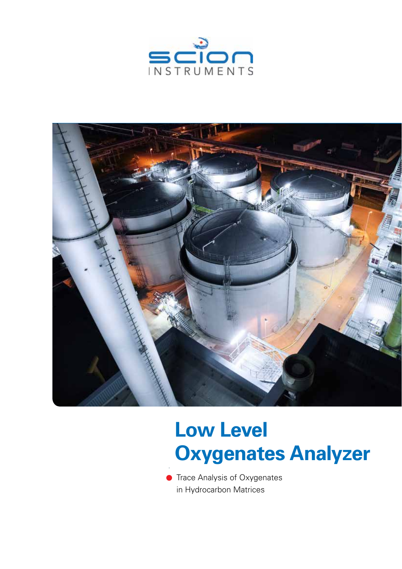



# **Low Level Low Level Oxygenates Analyzer Oxygenates Analyzer**

**Trace Analysis of Oxygenates** in Hydrocarbon Matrices in Hydrocarbon Matrices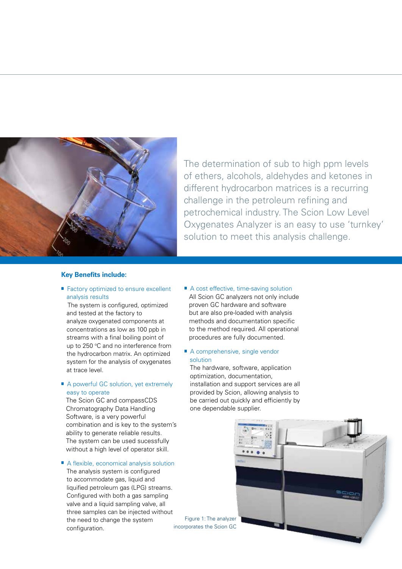

The determination of sub to high ppm levels The determination of sub to high ppm levels of ethers, alcohols, aldehydes and ketones in of ethers, alcohols, aldehydes and ketones in different hydrocarbon matrices is a recurring different hydrocarbon matrices is a recurring challenge in the petroleum refining and challenge in the petroleum refining and petrochemical industry. The Scion Low Level Oxygenates Analyzer is an easy to use 'turnkey' Oxygenates Analyzer is an easy to use 'turnkey' solution to meet this analysis challenge. solution to meet this analysis challenge.

## **Key Benefits include:**

### ■ Factory optimized to ensure excellent analysis results

 The system is configured, optimized and tested at the factory to analyze oxygenated components at concentrations as low as 100 ppb in streams with a final boiling point of up to 250 °C and no interference from the hydrocarbon matrix. An optimized system for the analysis of oxygenates at trace level.

## A powerful GC solution, yet extremely easy to operate

The Scion GC and compassCDS Chromatography Data Handling Chromatography Data Handling Software, is a very powerful Software, is a very powerful<br>combination and is key to the system's ability to generate reliable results. The system can be used sucessfully The system can be used sucessfully without a high level of operator skill.

## A flexible, economical analysis solution

The analysis system is configured to accommodate gas, liquid and liquified petroleum gas (LPG) streams. Configured with both a gas sampling valve and a liquid sampling valve, all three samples can be injected without the need to change the system configuration.

A cost effective, time-saving solution All Scion GC analyzers not only include proven GC hardware and software proven GC hardware and software but are also pre-loaded with analysis but are also pre-loaded with analysis methods and documentation specific methods documentation specific to the method required. All operational to the method required. All operational procedures are fully documented. procedures are fully documented.

#### A comprehensive, single vendor solution

The hardware, software, application The hardware, software, application optimization, documentation, optimization, documentation, installation and support services are all installation and support services are all provided by Scion, allowing analysis to be carried out quickly and efficiently by be carried out quickly and efficiently byone dependable supplier. one dependable supplier.



Figure 1: The analyzer Figure 1: The analyzer incorporates the Scion GC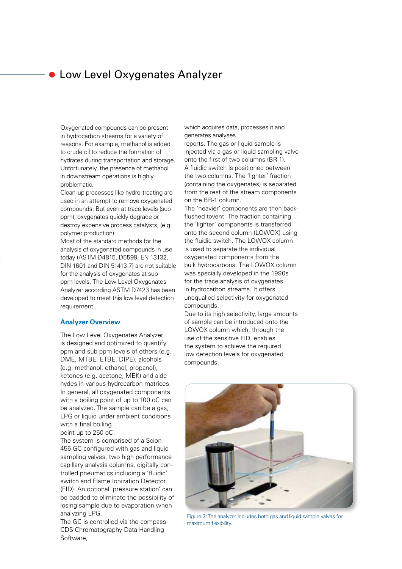## **C** Low Level Oxygenates Analyzer

Oxygenated compounds can be present in hydrocarbon streams for a variety of reasons. For example, methanol is added to crude oil to reduce the formation of hydrates during transportation and storage. Unfortunately, the presence of methanol in downstream operations is highly problematic.

Clean-up processes like hydro-treating are used in an attempt to remove oxygenated compounds. But even at trace levels (sub ppm), oxygenates quickly degrade or destroy expensive process catalysts, (e.g. polymer production).

Most of the standard methods for the analysis of oxygenated compounds in use today (ASTM D4815, D5599, EN 13132, DIN 1601 and DIN 51413-7) are not suitable for the analysis of oxygenates at sub ppm levels. The Low Level Oxygenates Analyzer according ASTM D7423 has been developed to meet this low level detection requirement..

#### **Analyzer Overview**

The Low Level Oxygenates Analyzer The Low Level Oxygenates Analyzer is designed and optimized to quantify is designed and optimized to quantify ppm and sub ppm levels of ethers (e.g. ppm and sub ppm levels of ethers (e.g. DME, MTBE, ETBE, DIPE), alcohols (e.g. methanol, ethanol, propanol), ketones (e.g. acetone, MEK) and aldehydes in various hydrocarbon matrices. In general, all oxygenated components with a boiling point of up to 100 oC can be analyzed. The sample can be a gas, LPG or liquid under ambient conditions with a final boiling point up to 250 oC.  $\blacksquare$ 

The system is comprised of a Scion 456 GC configured with gas and liquid sampling valves, two high performance capillary analysis columns, digitally controlled pneumatics including a 'fluidic' switch and Flame Ionization Detector (FID). An optional 'pressure station' can be badded to eliminate the possibility of losing sample due to evaporation when analyzing LPG. The Compass  $\overline{\phantom{a}}$ 

The GC is controlled via the compass-CDS Chromatography Data Handling Software,

which acquires data, processes it and generates analyses

reports. The gas or liquid sample is injected via a gas or liquid sampling valve onto the first of two columns (BR-1). A fluidic switch is positioned between the two columns. The 'lighter' fraction (containing the oxygenates) is separated from the rest of the stream components on the BR-1 column.

The 'heavier' components are then backflushed tovent. The fraction containing the 'lighter' components is transferred onto the second column (LOWOX) using the fluidic switch. The LOWOX column is used to separate the individual oxygenated components from the bulk hydrocarbons. The LOWOX column was specially developed in the 1990s for the trace analysis of oxygenates in hydrocarbon streams. It offers unequalled selectivity for oxygenated compounds.

Due to its high selectivity, large amounts of sample can be introduced onto the LOWOX column which, through the use of the sensitive FID, enables the system to achieve the required low detection levels for oxygenated compounds.



Figure 2: The analyzer includes both gas and liquid sample valves for maximum flexibility.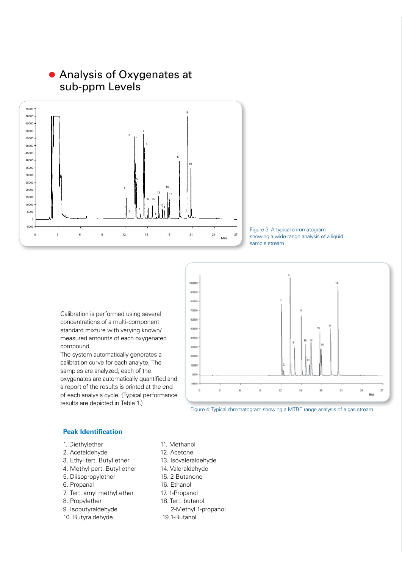## Analysis of Oxygenates at sub-ppm Levels



Figure 3: A typical chromatogram showing a wide range analysis of a liquid sample stream

Calibration is performed using several concentrations of a multi-component standard mixture with varying known/ measured amounts of each oxygenated compound.

The system automatically generates a calibration curve for each analyte. The samples are analyzed, each of the oxygenates are automatically quantified and a report of the results is printed at the end of each analysis cycle. (Typical performance results are depicted in Table 1.)



Figure 4: Typical chromatogram showing a MTBE range analysis of a gas stream.

### **Peak Identification**

- 1. Diethylether 11. Methanol
- 2. Acetaldehyde 12. Acetone
- 3. Ethyl tert. Butyl ether 13. Isovaleraldehyde
- 4. Methyl pert. Butyl ether 14. Valeraldehyde
- 
- 
- 7. Tert. amyl methyl ether 17. 1-Propanol
- 
- 
- 10. Butyraldehyde 19.1-Butanol
- 
- 
- 
- 
- 5. Diisopropylether 15. 2-Butanone
- 6. Propanal 16. Ethanol
	-
- 8. Propylether 18. Tert. butanol
- 9. Isobutyraldehyde 2-Methyl 1-propanol
	-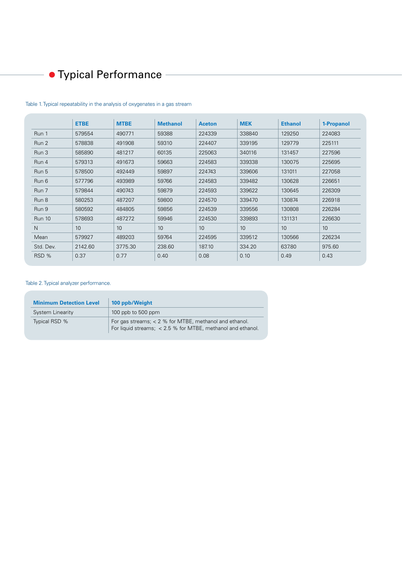## Typical Performance

|               | <b>ETBE</b> | <b>MTBE</b> | <b>Methanol</b> | <b>Aceton</b> | <b>MEK</b> | <b>Ethanol</b> | 1-Propanol |
|---------------|-------------|-------------|-----------------|---------------|------------|----------------|------------|
| Run 1         | 579554      | 490771      | 59388           | 224339        | 338840     | 129250         | 224083     |
| Run 2         | 578838      | 491908      | 59310           | 224407        | 339195     | 129779         | 225111     |
| Run 3         | 585890      | 481217      | 60135           | 225063        | 340116     | 131457         | 227596     |
| Run 4         | 579313      | 491673      | 59663           | 224583        | 339338     | 130075         | 225695     |
| Run 5         | 578500      | 492449      | 59897           | 224743        | 339606     | 131011         | 227058     |
| Run 6         | 577796      | 493989      | 59766           | 224583        | 339482     | 130628         | 226651     |
| Run 7         | 579844      | 490743      | 59879           | 224593        | 339622     | 130645         | 226309     |
| Run 8         | 580253      | 487207      | 59800           | 224570        | 339470     | 130874         | 226918     |
| Run 9         | 580592      | 484805      | 59856           | 224539        | 339556     | 130808         | 226284     |
| <b>Run 10</b> | 578693      | 487272      | 59946           | 224530        | 339893     | 131131         | 226630     |
| N             | 10          | 10          | 10 <sup>1</sup> | 10            | 10         | 10             | 10         |
| Mean          | 579927      | 489203      | 59764           | 224595        | 339512     | 130566         | 226234     |
| Std. Dev.     | 2142.60     | 3775.30     | 238.60          | 187.10        | 334.20     | 637.80         | 975.60     |
| RSD %         | 0.37        | 0.77        | 0.40            | 0.08          | 0.10       | 0.49           | 0.43       |

#### Table 1. Typical repeatability in the analysis of oxygenates in a gas stream

## Table 2. Typical analyzer performance.

| <b>Minimum Detection Level</b> | 100 ppb/Weight                                                                                                          |  |  |  |  |
|--------------------------------|-------------------------------------------------------------------------------------------------------------------------|--|--|--|--|
| System Linearity               | 100 ppb to 500 ppm                                                                                                      |  |  |  |  |
| Typical RSD %                  | For gas streams; $< 2$ % for MTBE, methanol and ethanol.<br>For liquid streams; < 2.5 % for MTBE, methanol and ethanol. |  |  |  |  |